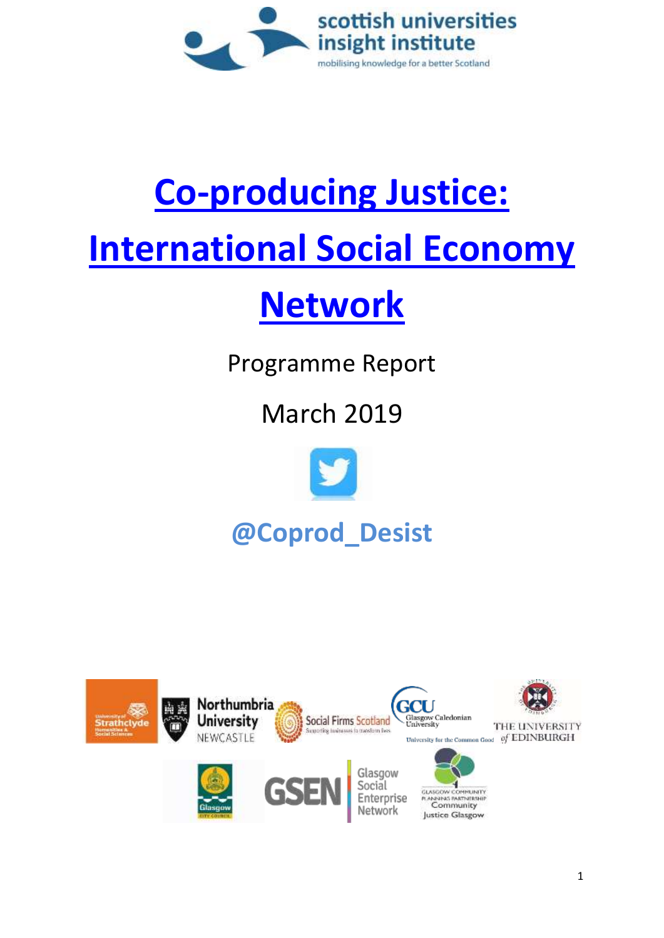

# **[Co-producing Justice:](https://www.coproducingjustice.org.uk/)  [International Social Economy](https://www.coproducingjustice.org.uk/)**

## **[Network](https://www.coproducingjustice.org.uk/)**

Programme Report

### March 2019



## **@Coprod\_Desist**

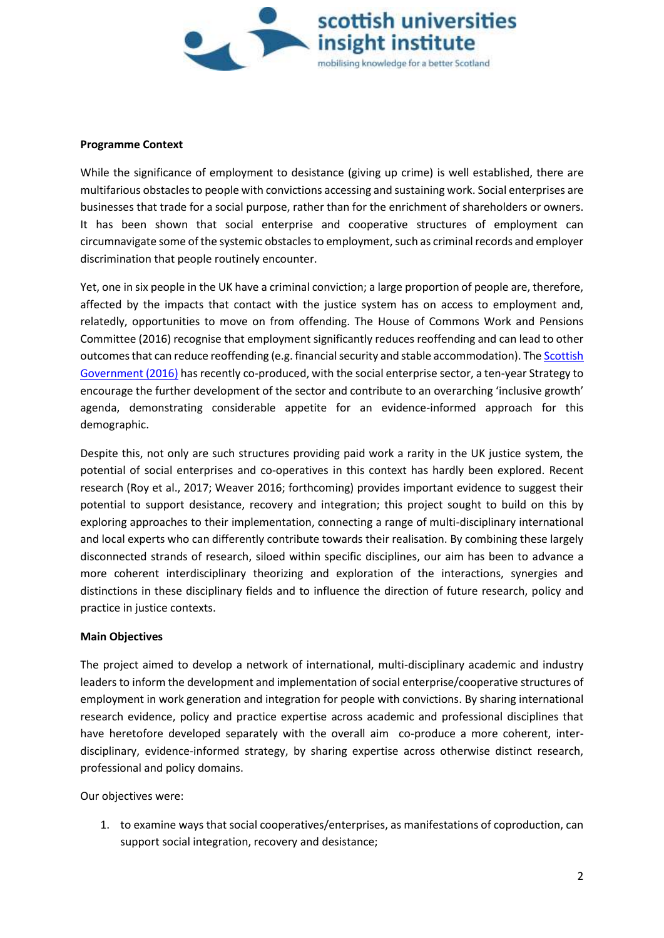

#### **Programme Context**

While the significance of employment to desistance (giving up crime) is well established, there are multifarious obstacles to people with convictions accessing and sustaining work. Social enterprises are businesses that trade for a social purpose, rather than for the enrichment of shareholders or owners. It has been shown that social enterprise and cooperative structures of employment can circumnavigate some of the systemic obstacles to employment, such as criminal records and employer discrimination that people routinely encounter.

Yet, one in six people in the UK have a criminal conviction; a large proportion of people are, therefore, affected by the impacts that contact with the justice system has on access to employment and, relatedly, opportunities to move on from offending. The House of Commons Work and Pensions Committee (2016) recognise that employment significantly reduces reoffending and can lead to other outcomes that can reduce reoffending (e.g. financial security and stable accommodation). The [Scottish](https://www.gov.scot/publications/scotlands-social-enterprise-strategy-2016-2026/pages/2/)  [Government \(2016\)](https://www.gov.scot/publications/scotlands-social-enterprise-strategy-2016-2026/pages/2/) has recently co-produced, with the social enterprise sector, a ten-year Strategy to encourage the further development of the sector and contribute to an overarching 'inclusive growth' agenda, demonstrating considerable appetite for an evidence-informed approach for this demographic.

Despite this, not only are such structures providing paid work a rarity in the UK justice system, the potential of social enterprises and co-operatives in this context has hardly been explored. Recent research (Roy et al., 2017; Weaver 2016; forthcoming) provides important evidence to suggest their potential to support desistance, recovery and integration; this project sought to build on this by exploring approaches to their implementation, connecting a range of multi-disciplinary international and local experts who can differently contribute towards their realisation. By combining these largely disconnected strands of research, siloed within specific disciplines, our aim has been to advance a more coherent interdisciplinary theorizing and exploration of the interactions, synergies and distinctions in these disciplinary fields and to influence the direction of future research, policy and practice in justice contexts.

#### **Main Objectives**

The project aimed to develop a network of international, multi-disciplinary academic and industry leaders to inform the development and implementation of social enterprise/cooperative structures of employment in work generation and integration for people with convictions. By sharing international research evidence, policy and practice expertise across academic and professional disciplines that have heretofore developed separately with the overall aim co-produce a more coherent, interdisciplinary, evidence-informed strategy, by sharing expertise across otherwise distinct research, professional and policy domains.

Our objectives were:

1. to examine ways that social cooperatives/enterprises, as manifestations of coproduction, can support social integration, recovery and desistance;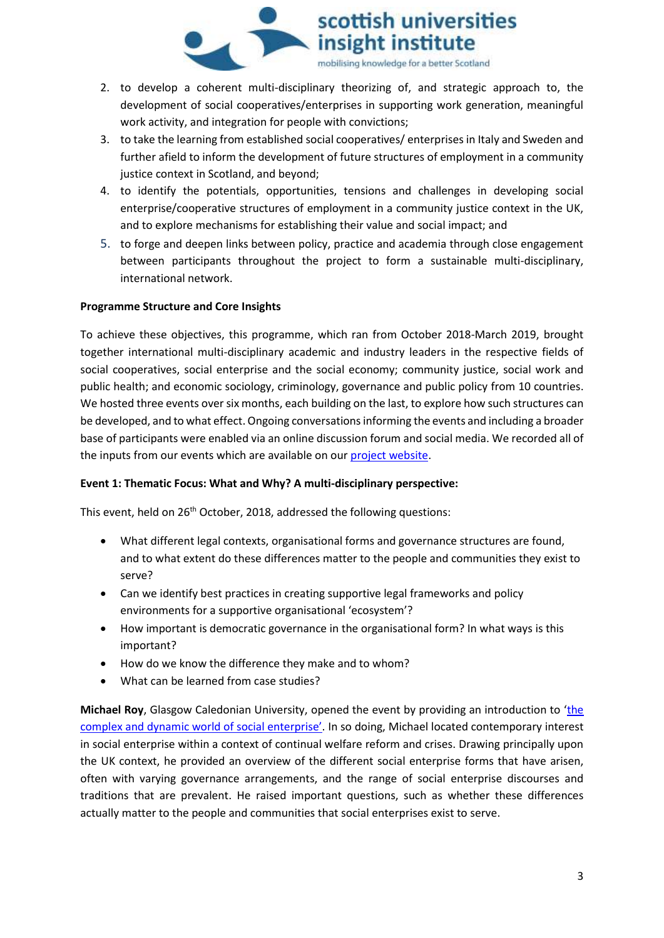

- 2. to develop a coherent multi-disciplinary theorizing of, and strategic approach to, the development of social cooperatives/enterprises in supporting work generation, meaningful work activity, and integration for people with convictions;
- 3. to take the learning from established social cooperatives/ enterprises in Italy and Sweden and further afield to inform the development of future structures of employment in a community justice context in Scotland, and beyond;
- 4. to identify the potentials, opportunities, tensions and challenges in developing social enterprise/cooperative structures of employment in a community justice context in the UK, and to explore mechanisms for establishing their value and social impact; and
- 5. to forge and deepen links between policy, practice and academia through close engagement between participants throughout the project to form a sustainable multi-disciplinary, international network.

#### **Programme Structure and Core Insights**

To achieve these objectives, this programme, which ran from October 2018-March 2019, brought together international multi-disciplinary academic and industry leaders in the respective fields of social cooperatives, social enterprise and the social economy; community justice, social work and public health; and economic sociology, criminology, governance and public policy from 10 countries. We hosted three events over six months, each building on the last, to explore how such structures can be developed, and to what effect. Ongoing conversations informing the events and including a broader base of participants were enabled via an online discussion forum and social media. We recorded all of the inputs from our events which are available on our [project website.](https://www.coproducingjustice.org.uk/Resources/tabid/8212/Default.aspx)

#### **Event 1: Thematic Focus: What and Why? A multi-disciplinary perspective:**

This event, held on 26<sup>th</sup> October, 2018, addressed the following questions:

- What different legal contexts, organisational forms and governance structures are found, and to what extent do these differences matter to the people and communities they exist to serve?
- Can we identify best practices in creating supportive legal frameworks and policy environments for a supportive organisational 'ecosystem'?
- How important is democratic governance in the organisational form? In what ways is this important?
- How do we know the difference they make and to whom?
- What can be learned from case studies?

**Michael Roy**, Glasgow Caledonian University, opened the event by providing an introduction to '[the](https://soundcloud.com/user-774435227/1-an-introduction-to-the-complex-and-dynamic-world-of-social-enterprise-michael-roy)  complex and dynam[ic world of social enterprise'](https://soundcloud.com/user-774435227/1-an-introduction-to-the-complex-and-dynamic-world-of-social-enterprise-michael-roy). In so doing, Michael located contemporary interest in social enterprise within a context of continual welfare reform and crises. Drawing principally upon the UK context, he provided an overview of the different social enterprise forms that have arisen, often with varying governance arrangements, and the range of social enterprise discourses and traditions that are prevalent. He raised important questions, such as whether these differences actually matter to the people and communities that social enterprises exist to serve.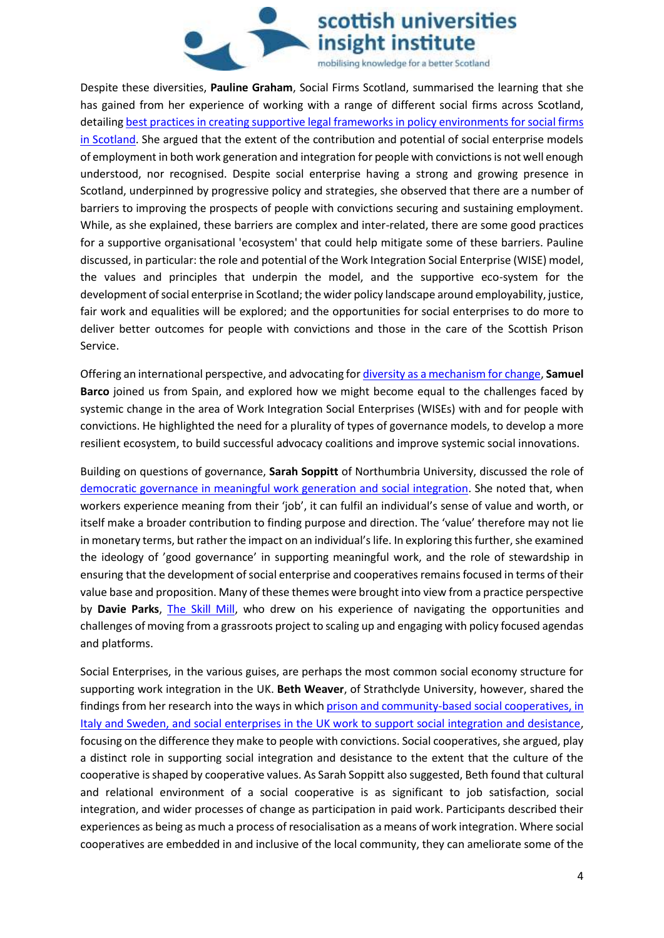

Despite these diversities, **Pauline Graham**, Social Firms Scotland, summarised the learning that she has gained from her experience of working with a range of different social firms across Scotland, detailing [best practices in creating supportive legal frameworks in policy environments for social firms](https://soundcloud.com/user-774435227/2-best-practices-in-creating-supportive-legal-frameworks-and-policy-enironments)  in [Scotland.](https://soundcloud.com/user-774435227/2-best-practices-in-creating-supportive-legal-frameworks-and-policy-enironments) She argued that the extent of the contribution and potential of social enterprise models of employment in both work generation and integration for people with convictions is not well enough understood, nor recognised. Despite social enterprise having a strong and growing presence in Scotland, underpinned by progressive policy and strategies, she observed that there are a number of barriers to improving the prospects of people with convictions securing and sustaining employment. While, as she explained, these barriers are complex and inter-related, there are some good practices for a supportive organisational 'ecosystem' that could help mitigate some of these barriers. Pauline discussed, in particular: the role and potential of the Work Integration Social Enterprise (WISE) model, the values and principles that underpin the model, and the supportive eco-system for the development of social enterprise in Scotland; the wider policy landscape around employability, justice, fair work and equalities will be explored; and the opportunities for social enterprises to do more to deliver better outcomes for people with convictions and those in the care of the Scottish Prison Service.

Offering an international perspective, and advocating fo[r diversity as a mechanism for change,](https://soundcloud.com/user-774435227/3-diversity-for-change-governance-models-plurality-of-actors-and-transformative-ecosystems) **Samuel Barco** joined us from Spain, and explored how we might become equal to the challenges faced by systemic change in the area of Work Integration Social Enterprises (WISEs) with and for people with convictions. He highlighted the need for a plurality of types of governance models, to develop a more resilient ecosystem, to build successful advocacy coalitions and improve systemic social innovations.

Building on questions of governance, **Sarah Soppitt** of Northumbria University, discussed the role of [democratic governance in meaningful work generation and social integration.](https://soundcloud.com/user-774435227/4-governance-value-social-enterprise-in-meaningful-work-generation) She noted that, when workers experience meaning from their 'job', it can fulfil an individual's sense of value and worth, or itself make a broader contribution to finding purpose and direction. The 'value' therefore may not lie in monetary terms, but rather the impact on an individual's life. In exploring this further, she examined the ideology of 'good governance' in supporting meaningful work, and the role of stewardship in ensuring that the development of social enterprise and cooperatives remains focused in terms of their value base and proposition. Many of these themes were brought into view from a practice perspective by **Davie Parks**, [The Skill Mill,](https://soundcloud.com/user-774435227/5-davie-in-wonderland-putting-practice-into-policy) who drew on his experience of navigating the opportunities and challenges of moving from a grassroots project to scaling up and engaging with policy focused agendas and platforms.

Social Enterprises, in the various guises, are perhaps the most common social economy structure for supporting work integration in the UK. **Beth Weaver**, of Strathclyde University, however, shared the findings from her research into the ways in which prison [and community-based social cooperatives, in](https://soundcloud.com/user-774435227/6-the-role-of-social-cooperatives-in-supporting-social-integration-and-desistance)  [Italy and Sweden, and social enterprises in the UK work to support social integration and desistance,](https://soundcloud.com/user-774435227/6-the-role-of-social-cooperatives-in-supporting-social-integration-and-desistance) focusing on the difference they make to people with convictions. Social cooperatives, she argued, play a distinct role in supporting social integration and desistance to the extent that the culture of the cooperative is shaped by cooperative values. As Sarah Soppitt also suggested, Beth found that cultural and relational environment of a social cooperative is as significant to job satisfaction, social integration, and wider processes of change as participation in paid work. Participants described their experiences as being as much a process of resocialisation as a means of work integration. Where social cooperatives are embedded in and inclusive of the local community, they can ameliorate some of the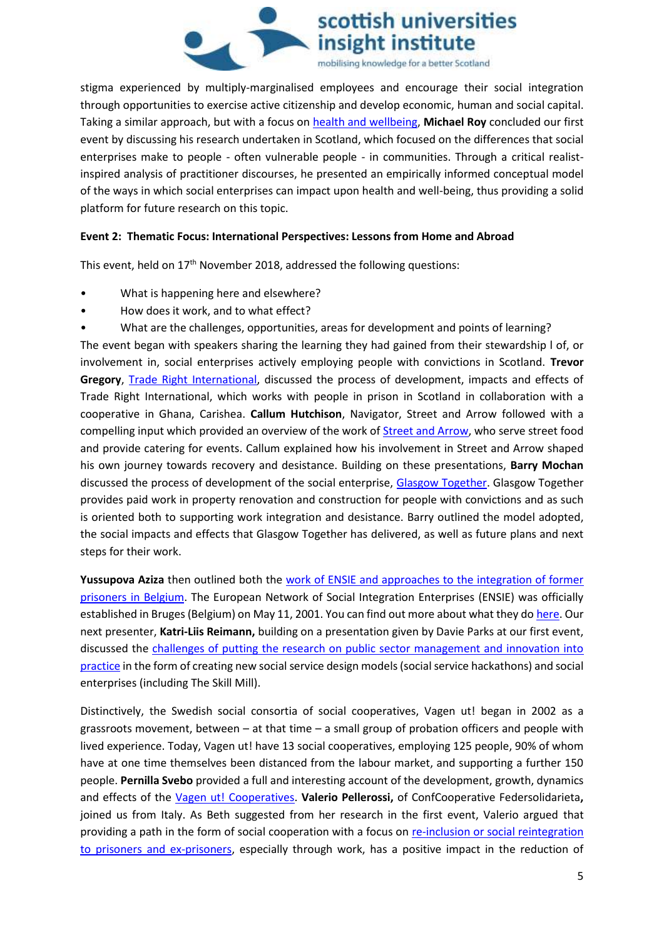

stigma experienced by multiply-marginalised employees and encourage their social integration through opportunities to exercise active citizenship and develop economic, human and social capital. Taking a similar approach, but with a focus on [health and wellbeing,](https://soundcloud.com/user-774435227/7-conceptualising-social-enterprise-as-a-health-and-wellbeing-intervention) **Michael Roy** concluded our first event by discussing his research undertaken in Scotland, which focused on the differences that social enterprises make to people - often vulnerable people - in communities. Through a critical realistinspired analysis of practitioner discourses, he presented an empirically informed conceptual model of the ways in which social enterprises can impact upon health and well-being, thus providing a solid platform for future research on this topic.

#### **Event 2: Thematic Focus: International Perspectives: Lessons from Home and Abroad**

This event, held on  $17<sup>th</sup>$  November 2018, addressed the following questions:

- What is happening here and elsewhere?
- How does it work, and to what effect?
- What are the challenges, opportunities, areas for development and points of learning?

The event began with speakers sharing the learning they had gained from their stewardship l of, or involvement in, social enterprises actively employing people with convictions in Scotland. **Trevor Gregory**, [Trade Right International,](https://soundcloud.com/user-774435227/22-trade-right-international) discussed the process of development, impacts and effects of Trade Right International, which works with people in prison in Scotland in collaboration with a cooperative in Ghana, Carishea. **Callum Hutchison**, Navigator, Street and Arrow followed with a compelling input which provided an overview of the work o[f Street and Arrow,](https://soundcloud.com/user-774435227/23-street-and-arrow-a-personal-journey) who serve street food and provide catering for events. Callum explained how his involvement in Street and Arrow shaped his own journey towards recovery and desistance. Building on these presentations, **Barry Mochan** discussed the process of development of the social enterprise, [Glasgow Together.](https://soundcloud.com/user-774435227/24-glasgow-together) Glasgow Together provides paid work in property renovation and construction for people with convictions and as such is oriented both to supporting work integration and desistance. Barry outlined the model adopted, the social impacts and effects that Glasgow Together has delivered, as well as future plans and next steps for their work.

Yussupova Aziza then outlined both the work of ENSIE and approaches to the integration of former [prisoners in Belgium.](https://soundcloud.com/user-774435227/25-introducing-the-european-network-of-social-integration-enterprises) The European Network of Social Integration Enterprises (ENSIE) was officially established in Bruges (Belgium) on May 11, 2001. You can find out more about what they do [here.](http://www.ensie.org/about-ensie) Our next presenter, **Katri-Liis Reimann,** building on a presentation given by Davie Parks at our first event, discussed the challenges of putting the research on public sector management and innovation into [practice](https://soundcloud.com/user-774435227/katri-liis-in-wonderland-putting-research-into-policy-and-practice) in the form of creating new social service design models (social service hackathons) and social enterprises (including The Skill Mill).

Distinctively, the Swedish social consortia of social cooperatives, Vagen ut! began in 2002 as a grassroots movement, between – at that time – a small group of probation officers and people with lived experience. Today, Vagen ut! have 13 social cooperatives, employing 125 people, 90% of whom have at one time themselves been distanced from the labour market, and supporting a further 150 people. **Pernilla Svebo** provided a full and interesting account of the development, growth, dynamics and effects of the [Vagen ut! Cooperatives.](https://soundcloud.com/user-774435227/27-the-vagen-ut-cooperatives) **Valerio Pellerossi,** of ConfCooperative Federsolidarieta**,** joined us from Italy. As Beth suggested from her research in the first event, Valerio argued that providing a path in the form of social cooperation with a focus on [re-inclusion or social reintegration](https://soundcloud.com/user-774435227/28-a-focus-on-social-cooperatives-for-the-re-inclusion-of-prisoners-and-ex-prisoners-italy)  [to prisoners and ex-prisoners,](https://soundcloud.com/user-774435227/28-a-focus-on-social-cooperatives-for-the-re-inclusion-of-prisoners-and-ex-prisoners-italy) especially through work, has a positive impact in the reduction of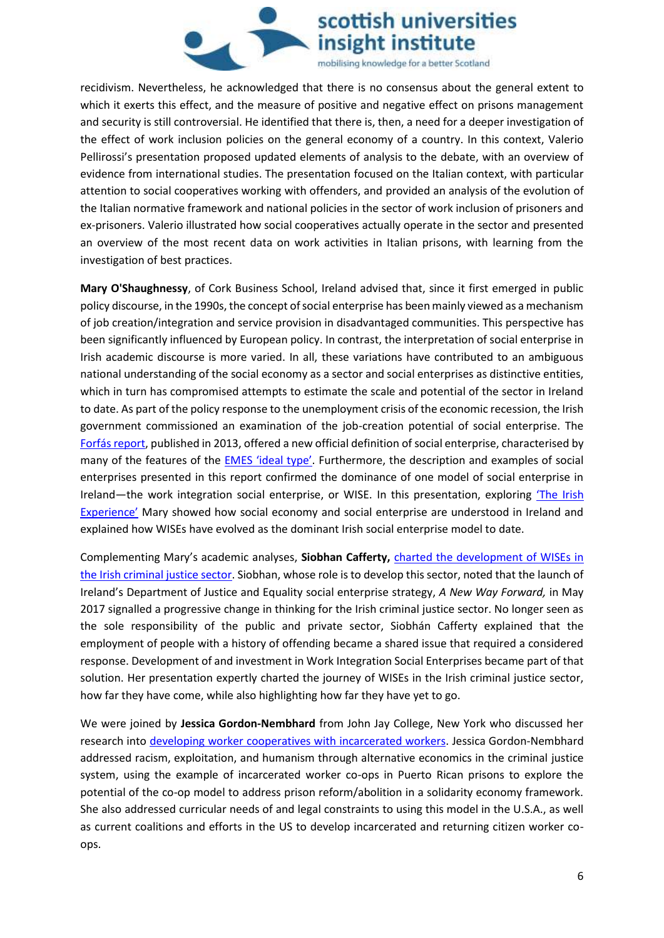

recidivism. Nevertheless, he acknowledged that there is no consensus about the general extent to which it exerts this effect, and the measure of positive and negative effect on prisons management and security is still controversial. He identified that there is, then, a need for a deeper investigation of the effect of work inclusion policies on the general economy of a country. In this context, Valerio Pellirossi's presentation proposed updated elements of analysis to the debate, with an overview of evidence from international studies. The presentation focused on the Italian context, with particular attention to social cooperatives working with offenders, and provided an analysis of the evolution of the Italian normative framework and national policies in the sector of work inclusion of prisoners and ex-prisoners. Valerio illustrated how social cooperatives actually operate in the sector and presented an overview of the most recent data on work activities in Italian prisons, with learning from the investigation of best practices.

**Mary O'Shaughnessy**, of Cork Business School, Ireland advised that, since it first emerged in public policy discourse, in the 1990s, the concept of social enterprise has been mainly viewed as a mechanism of job creation/integration and service provision in disadvantaged communities. This perspective has been significantly influenced by European policy. In contrast, the interpretation of social enterprise in Irish academic discourse is more varied. In all, these variations have contributed to an ambiguous national understanding of the social economy as a sector and social enterprises as distinctive entities, which in turn has compromised attempts to estimate the scale and potential of the sector in Ireland to date. As part of the policy response to the unemployment crisis of the economic recession, the Irish government commissioned an examination of the job-creation potential of social enterprise. The [Forfás report,](https://www.tcd.ie/business/assets/pdf/centre-social-engagement/23072013-Social_Enterprise_in_Ireland-Sectoral_Opportunities_and_Policy_Issues-Publication.pdf) published in 2013, offered a new official definition of social enterprise, characterised by many of the features of the EMES '[ideal type](https://orbi.uliege.be/bitstream/2268/162311/1/The%20EMES%20Compass%20Liege%202013.pdf)'. Furthermore, the description and examples of social enterprises presented in this report confirmed the dominance of one model of social enterprise in Ireland—the work integration social enterprise, or WISE. In this presentation, exploring 'The Irish [Experience'](https://soundcloud.com/user-774435227/29-coproducing-justice-the-irish-experience) Mary showed how social economy and social enterprise are understood in Ireland and explained how WISEs have evolved as the dominant Irish social enterprise model to date.

Complementing Mary's academic analyses, **Siobhan Cafferty,** charted [the development of WISEs in](https://soundcloud.com/user-774435227/210-generating-new-thinking-thedevelopment-of-wises-in-the-irish-criminal-justice-sector)  [the Irish criminal justice sector.](https://soundcloud.com/user-774435227/210-generating-new-thinking-thedevelopment-of-wises-in-the-irish-criminal-justice-sector) Siobhan, whose role is to develop this sector, noted that the launch of Ireland's Department of Justice and Equality social enterprise strategy, *A New Way Forward,* in May 2017 signalled a progressive change in thinking for the Irish criminal justice sector. No longer seen as the sole responsibility of the public and private sector, Siobhán Cafferty explained that the employment of people with a history of offending became a shared issue that required a considered response. Development of and investment in Work Integration Social Enterprises became part of that solution. Her presentation expertly charted the journey of WISEs in the Irish criminal justice sector, how far they have come, while also highlighting how far they have yet to go.

We were joined by **Jessica Gordon-Nembhard** from John Jay College, New York who discussed her research into [developing worker cooperatives with incarcerated workers.](https://soundcloud.com/user-774435227/211-developing-co-ops-with-incarcerated-workers) Jessica Gordon-Nembhard addressed racism, exploitation, and humanism through alternative economics in the criminal justice system, using the example of incarcerated worker co-ops in Puerto Rican prisons to explore the potential of the co-op model to address prison reform/abolition in a solidarity economy framework. She also addressed curricular needs of and legal constraints to using this model in the U.S.A., as well as current coalitions and efforts in the US to develop incarcerated and returning citizen worker coops.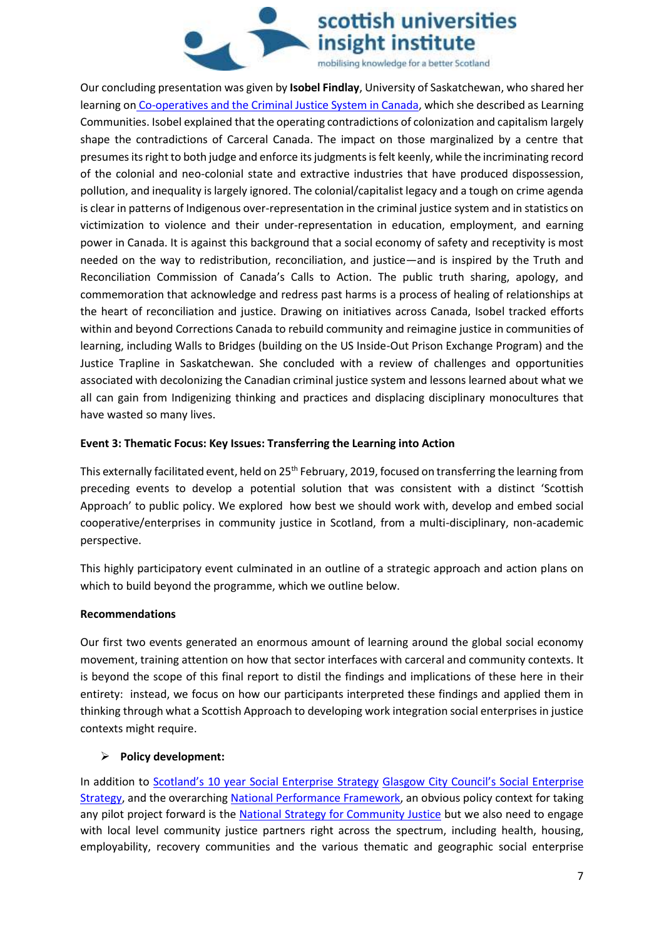

Our concluding presentation was given by **Isobel Findlay**, University of Saskatchewan, who shared her learning on [Co-operatives and the Criminal Justice System in Canada,](https://soundcloud.com/user-774435227/212-co-operatives-and-the-criminal-justice-system-in-canada-learning-communities-for-justice) which she described as Learning Communities. Isobel explained that the operating contradictions of colonization and capitalism largely shape the contradictions of Carceral Canada. The impact on those marginalized by a centre that presumes its right to both judge and enforce its judgments is felt keenly, while the incriminating record of the colonial and neo-colonial state and extractive industries that have produced dispossession, pollution, and inequality is largely ignored. The colonial/capitalist legacy and a tough on crime agenda is clear in patterns of Indigenous over-representation in the criminal justice system and in statistics on victimization to violence and their under-representation in education, employment, and earning power in Canada. It is against this background that a social economy of safety and receptivity is most needed on the way to redistribution, reconciliation, and justice—and is inspired by the Truth and Reconciliation Commission of Canada's Calls to Action. The public truth sharing, apology, and commemoration that acknowledge and redress past harms is a process of healing of relationships at the heart of reconciliation and justice. Drawing on initiatives across Canada, Isobel tracked efforts within and beyond Corrections Canada to rebuild community and reimagine justice in communities of learning, including Walls to Bridges (building on the US Inside-Out Prison Exchange Program) and the Justice Trapline in Saskatchewan. She concluded with a review of challenges and opportunities associated with decolonizing the Canadian criminal justice system and lessons learned about what we all can gain from Indigenizing thinking and practices and displacing disciplinary monocultures that have wasted so many lives.

#### **Event 3: Thematic Focus: Key Issues: Transferring the Learning into Action**

This externally facilitated event, held on 25<sup>th</sup> February, 2019, focused on transferring the learning from preceding events to develop a potential solution that was consistent with a distinct 'Scottish Approach' to public policy. We explored how best we should work with, develop and embed social cooperative/enterprises in community justice in Scotland, from a multi-disciplinary, non-academic perspective.

This highly participatory event culminated in an outline of a strategic approach and action plans on which to build beyond the programme, which we outline below.

#### **Recommendations**

Our first two events generated an enormous amount of learning around the global social economy movement, training attention on how that sector interfaces with carceral and community contexts. It is beyond the scope of this final report to distil the findings and implications of these here in their entirety: instead, we focus on how our participants interpreted these findings and applied them in thinking through what a Scottish Approach to developing work integration social enterprises in justice contexts might require.

#### ¾ **Policy development:**

In addition to Scotland's 10 year Social Enterprise Strategy [Glasgow City Council's Social Enterprise](https://www.glasgow.gov.uk/CHttpHandler.ashx?id=42639&p=0)  [Strategy,](https://www.glasgow.gov.uk/CHttpHandler.ashx?id=42639&p=0) and the overarching [National Performance Framework,](https://nationalperformance.gov.scot/) an obvious policy context for taking any pilot project forward is the [National Strategy for Community Justice](https://www.gov.scot/publications/national-strategy-community-justice/) but we also need to engage with local level community justice partners right across the spectrum, including health, housing, employability, recovery communities and the various thematic and geographic social enterprise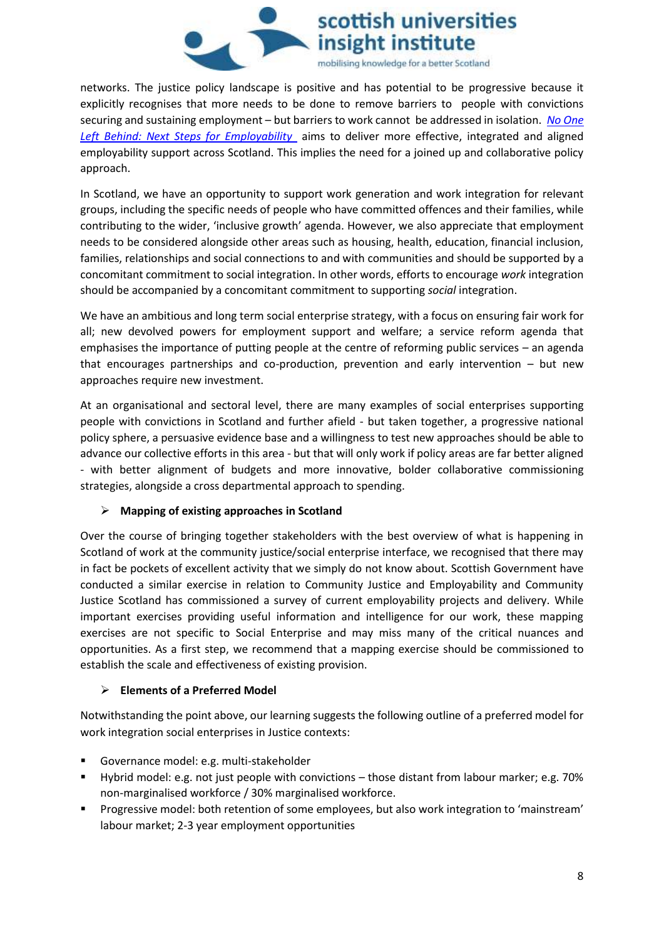

networks. The justice policy landscape is positive and has potential to be progressive because it explicitly recognises that more needs to be done to remove barriers to people with convictions securing and sustaining employment – but barriers to work cannot be addressed in isolation. *[No One](https://www.gov.scot/publications/one-left-behind-next-steps-integration-alignment-employability-support-scotland/)  [Left Behind: Next Steps for Employability](https://www.gov.scot/publications/one-left-behind-next-steps-integration-alignment-employability-support-scotland/)* aims to deliver more effective, integrated and aligned employability support across Scotland. This implies the need for a joined up and collaborative policy approach.

In Scotland, we have an opportunity to support work generation and work integration for relevant groups, including the specific needs of people who have committed offences and their families, while contributing to the wider, 'inclusive growth' agenda. However, we also appreciate that employment needs to be considered alongside other areas such as housing, health, education, financial inclusion, families, relationships and social connections to and with communities and should be supported by a concomitant commitment to social integration. In other words, efforts to encourage *work* integration should be accompanied by a concomitant commitment to supporting *social* integration.

We have an ambitious and long term social enterprise strategy, with a focus on ensuring fair work for all; new devolved powers for employment support and welfare; a service reform agenda that emphasises the importance of putting people at the centre of reforming public services – an agenda that encourages partnerships and co-production, prevention and early intervention – but new approaches require new investment.

At an organisational and sectoral level, there are many examples of social enterprises supporting people with convictions in Scotland and further afield - but taken together, a progressive national policy sphere, a persuasive evidence base and a willingness to test new approaches should be able to advance our collective efforts in this area - but that will only work if policy areas are far better aligned - with better alignment of budgets and more innovative, bolder collaborative commissioning strategies, alongside a cross departmental approach to spending.

#### ¾ **Mapping of existing approaches in Scotland**

Over the course of bringing together stakeholders with the best overview of what is happening in Scotland of work at the community justice/social enterprise interface, we recognised that there may in fact be pockets of excellent activity that we simply do not know about. Scottish Government have conducted a similar exercise in relation to Community Justice and Employability and Community Justice Scotland has commissioned a survey of current employability projects and delivery. While important exercises providing useful information and intelligence for our work, these mapping exercises are not specific to Social Enterprise and may miss many of the critical nuances and opportunities. As a first step, we recommend that a mapping exercise should be commissioned to establish the scale and effectiveness of existing provision.

#### ¾ **Elements of a Preferred Model**

Notwithstanding the point above, our learning suggests the following outline of a preferred model for work integration social enterprises in Justice contexts:

- Governance model: e.g. multi-stakeholder
- Hybrid model: e.g. not just people with convictions those distant from labour marker; e.g. 70% non-marginalised workforce / 30% marginalised workforce.
- Progressive model: both retention of some employees, but also work integration to 'mainstream' labour market; 2-3 year employment opportunities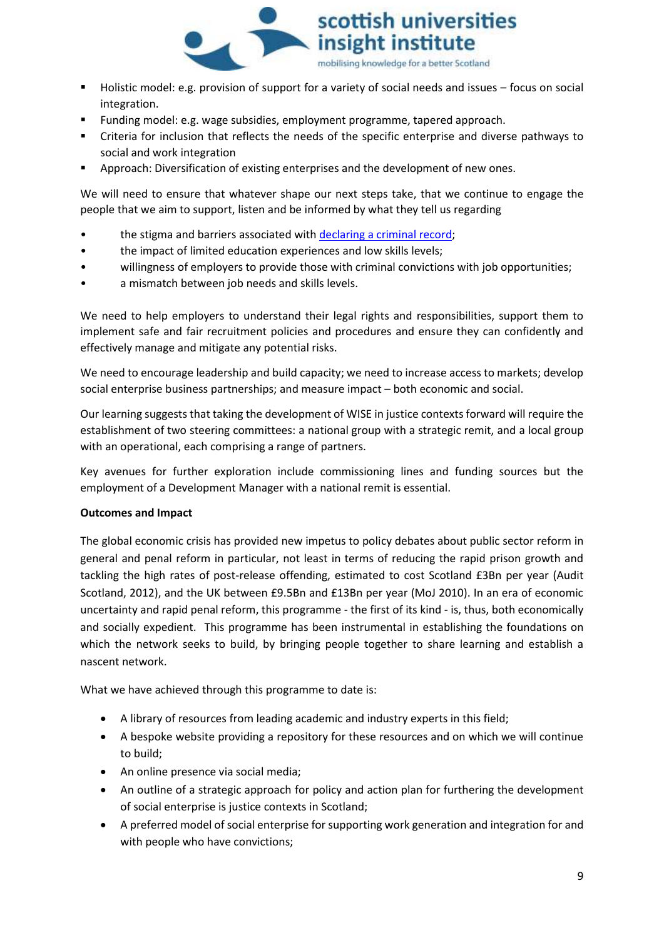

- Holistic model: e.g. provision of support for a variety of social needs and issues focus on social integration.
- Funding model: e.g. wage subsidies, employment programme, tapered approach.
- Criteria for inclusion that reflects the needs of the specific enterprise and diverse pathways to social and work integration
- Approach: Diversification of existing enterprises and the development of new ones.

We will need to ensure that whatever shape our next steps take, that we continue to engage the people that we aim to support, listen and be informed by what they tell us regarding

- the stigma and barriers associated with [declaring a criminal record;](https://www.sccjr.ac.uk/wp-content/uploads/2019/01/Weaver_SCCJR_2018_Time_for_policy_redemption_a_review_of_the_evidence.pdf)
- the impact of limited education experiences and low skills levels;
- willingness of employers to provide those with criminal convictions with job opportunities;
- a mismatch between job needs and skills levels.

We need to help employers to understand their legal rights and responsibilities, support them to implement safe and fair recruitment policies and procedures and ensure they can confidently and effectively manage and mitigate any potential risks.

We need to encourage leadership and build capacity; we need to increase access to markets; develop social enterprise business partnerships; and measure impact – both economic and social.

Our learning suggests that taking the development of WISE in justice contexts forward will require the establishment of two steering committees: a national group with a strategic remit, and a local group with an operational, each comprising a range of partners.

Key avenues for further exploration include commissioning lines and funding sources but the employment of a Development Manager with a national remit is essential.

#### **Outcomes and Impact**

The global economic crisis has provided new impetus to policy debates about public sector reform in general and penal reform in particular, not least in terms of reducing the rapid prison growth and tackling the high rates of post-release offending, estimated to cost Scotland £3Bn per year (Audit Scotland, 2012), and the UK between £9.5Bn and £13Bn per year (MoJ 2010). In an era of economic uncertainty and rapid penal reform, this programme - the first of its kind - is, thus, both economically and socially expedient. This programme has been instrumental in establishing the foundations on which the network seeks to build, by bringing people together to share learning and establish a nascent network.

What we have achieved through this programme to date is:

- A library of resources from leading academic and industry experts in this field;
- A bespoke website providing a repository for these resources and on which we will continue to build;
- An online presence via social media;
- An outline of a strategic approach for policy and action plan for furthering the development of social enterprise is justice contexts in Scotland;
- x A preferred model of social enterprise for supporting work generation and integration for and with people who have convictions;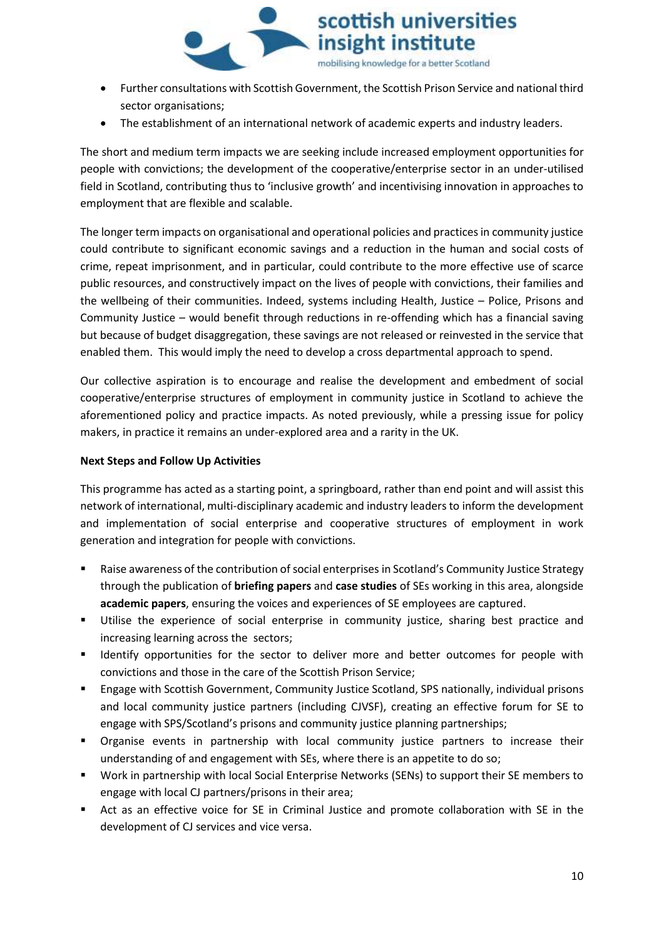

- x Further consultations with Scottish Government, the Scottish Prison Service and national third sector organisations;
- The establishment of an international network of academic experts and industry leaders.

The short and medium term impacts we are seeking include increased employment opportunities for people with convictions; the development of the cooperative/enterprise sector in an under-utilised field in Scotland, contributing thus to 'inclusive growth' and incentivising innovation in approaches to employment that are flexible and scalable.

The longer term impacts on organisational and operational policies and practices in community justice could contribute to significant economic savings and a reduction in the human and social costs of crime, repeat imprisonment, and in particular, could contribute to the more effective use of scarce public resources, and constructively impact on the lives of people with convictions, their families and the wellbeing of their communities. Indeed, systems including Health, Justice – Police, Prisons and Community Justice – would benefit through reductions in re-offending which has a financial saving but because of budget disaggregation, these savings are not released or reinvested in the service that enabled them. This would imply the need to develop a cross departmental approach to spend.

Our collective aspiration is to encourage and realise the development and embedment of social cooperative/enterprise structures of employment in community justice in Scotland to achieve the aforementioned policy and practice impacts. As noted previously, while a pressing issue for policy makers, in practice it remains an under-explored area and a rarity in the UK.

#### **Next Steps and Follow Up Activities**

This programme has acted as a starting point, a springboard, rather than end point and will assist this network of international, multi-disciplinary academic and industry leaders to inform the development and implementation of social enterprise and cooperative structures of employment in work generation and integration for people with convictions.

- Raise awareness of the contribution of social enterprises in Scotland's Community Justice Strategy through the publication of **briefing papers** and **case studies** of SEs working in this area, alongside **academic papers**, ensuring the voices and experiences of SE employees are captured.
- Utilise the experience of social enterprise in community justice, sharing best practice and increasing learning across the sectors;
- **If Identify opportunities for the sector to deliver more and better outcomes for people with** convictions and those in the care of the Scottish Prison Service;
- Engage with Scottish Government, Community Justice Scotland, SPS nationally, individual prisons and local community justice partners (including CJVSF), creating an effective forum for SE to engage with SPS/Scotland's prisons and community justice planning partnerships;
- Organise events in partnership with local community justice partners to increase their understanding of and engagement with SEs, where there is an appetite to do so;
- Work in partnership with local Social Enterprise Networks (SENs) to support their SE members to engage with local CJ partners/prisons in their area;
- Act as an effective voice for SE in Criminal Justice and promote collaboration with SE in the development of CJ services and vice versa.